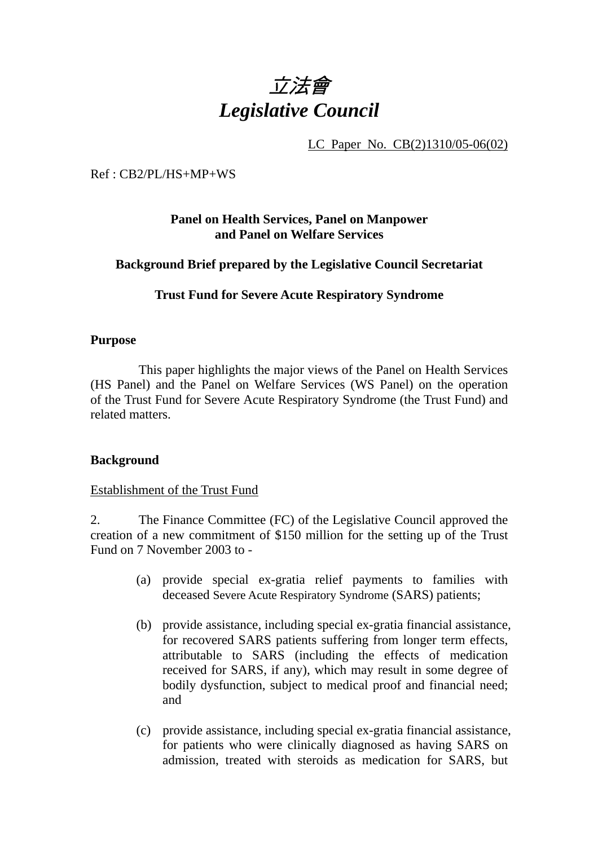

LC Paper No. CB(2)1310/05-06(02)

Ref : CB2/PL/HS+MP+WS

# **Panel on Health Services, Panel on Manpower and Panel on Welfare Services**

## **Background Brief prepared by the Legislative Council Secretariat**

## **Trust Fund for Severe Acute Respiratory Syndrome**

#### **Purpose**

1. This paper highlights the major views of the Panel on Health Services (HS Panel) and the Panel on Welfare Services (WS Panel) on the operation of the Trust Fund for Severe Acute Respiratory Syndrome (the Trust Fund) and related matters.

## **Background**

#### Establishment of the Trust Fund

2. The Finance Committee (FC) of the Legislative Council approved the creation of a new commitment of \$150 million for the setting up of the Trust Fund on 7 November 2003 to -

- (a) provide special ex-gratia relief payments to families with deceased Severe Acute Respiratory Syndrome (SARS) patients;
- (b) provide assistance, including special ex-gratia financial assistance, for recovered SARS patients suffering from longer term effects, attributable to SARS (including the effects of medication received for SARS, if any), which may result in some degree of bodily dysfunction, subject to medical proof and financial need; and
- (c) provide assistance, including special ex-gratia financial assistance, for patients who were clinically diagnosed as having SARS on admission, treated with steroids as medication for SARS, but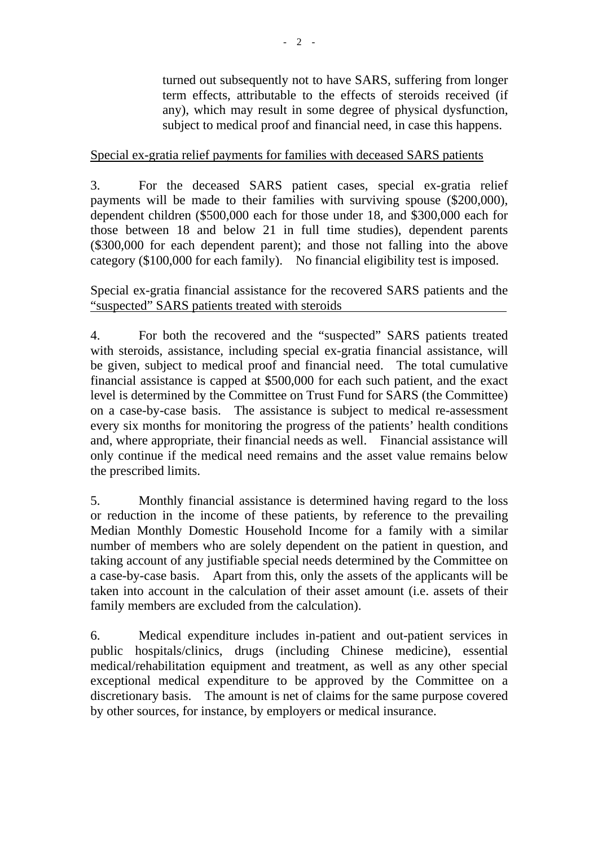turned out subsequently not to have SARS, suffering from longer term effects, attributable to the effects of steroids received (if any), which may result in some degree of physical dysfunction, subject to medical proof and financial need, in case this happens.

# Special ex-gratia relief payments for families with deceased SARS patients

3. For the deceased SARS patient cases, special ex-gratia relief payments will be made to their families with surviving spouse (\$200,000), dependent children (\$500,000 each for those under 18, and \$300,000 each for those between 18 and below 21 in full time studies), dependent parents (\$300,000 for each dependent parent); and those not falling into the above category (\$100,000 for each family). No financial eligibility test is imposed.

Special ex-gratia financial assistance for the recovered SARS patients and the "suspected" SARS patients treated with steroids

4. For both the recovered and the "suspected" SARS patients treated with steroids, assistance, including special ex-gratia financial assistance, will be given, subject to medical proof and financial need. The total cumulative financial assistance is capped at \$500,000 for each such patient, and the exact level is determined by the Committee on Trust Fund for SARS (the Committee) on a case-by-case basis. The assistance is subject to medical re-assessment every six months for monitoring the progress of the patients' health conditions and, where appropriate, their financial needs as well. Financial assistance will only continue if the medical need remains and the asset value remains below the prescribed limits.

5. Monthly financial assistance is determined having regard to the loss or reduction in the income of these patients, by reference to the prevailing Median Monthly Domestic Household Income for a family with a similar number of members who are solely dependent on the patient in question, and taking account of any justifiable special needs determined by the Committee on a case-by-case basis. Apart from this, only the assets of the applicants will be taken into account in the calculation of their asset amount (i.e. assets of their family members are excluded from the calculation).

6. Medical expenditure includes in-patient and out-patient services in public hospitals/clinics, drugs (including Chinese medicine), essential medical/rehabilitation equipment and treatment, as well as any other special exceptional medical expenditure to be approved by the Committee on a discretionary basis. The amount is net of claims for the same purpose covered by other sources, for instance, by employers or medical insurance.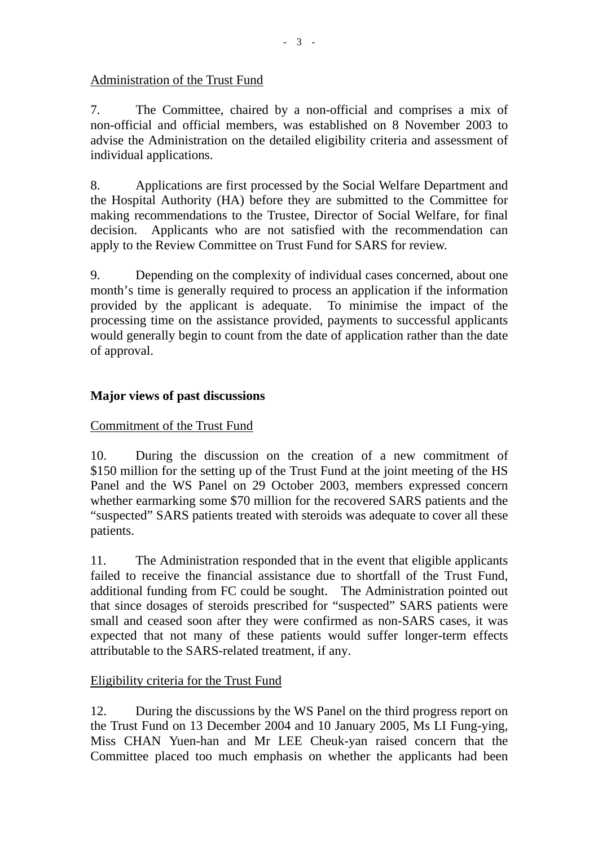## Administration of the Trust Fund

7. The Committee, chaired by a non-official and comprises a mix of non-official and official members, was established on 8 November 2003 to advise the Administration on the detailed eligibility criteria and assessment of individual applications.

8. Applications are first processed by the Social Welfare Department and the Hospital Authority (HA) before they are submitted to the Committee for making recommendations to the Trustee, Director of Social Welfare, for final decision. Applicants who are not satisfied with the recommendation can apply to the Review Committee on Trust Fund for SARS for review.

9. Depending on the complexity of individual cases concerned, about one month's time is generally required to process an application if the information provided by the applicant is adequate. To minimise the impact of the processing time on the assistance provided, payments to successful applicants would generally begin to count from the date of application rather than the date of approval.

## **Major views of past discussions**

## Commitment of the Trust Fund

10. During the discussion on the creation of a new commitment of \$150 million for the setting up of the Trust Fund at the joint meeting of the HS Panel and the WS Panel on 29 October 2003, members expressed concern whether earmarking some \$70 million for the recovered SARS patients and the "suspected" SARS patients treated with steroids was adequate to cover all these patients.

11. The Administration responded that in the event that eligible applicants failed to receive the financial assistance due to shortfall of the Trust Fund, additional funding from FC could be sought. The Administration pointed out that since dosages of steroids prescribed for "suspected" SARS patients were small and ceased soon after they were confirmed as non-SARS cases, it was expected that not many of these patients would suffer longer-term effects attributable to the SARS-related treatment, if any.

## Eligibility criteria for the Trust Fund

12. During the discussions by the WS Panel on the third progress report on the Trust Fund on 13 December 2004 and 10 January 2005, Ms LI Fung-ying, Miss CHAN Yuen-han and Mr LEE Cheuk-yan raised concern that the Committee placed too much emphasis on whether the applicants had been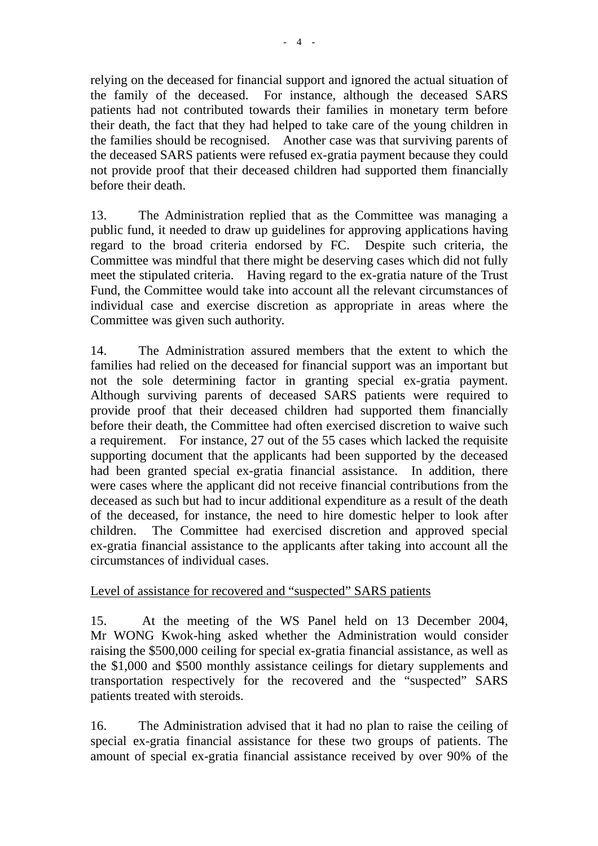relying on the deceased for financial support and ignored the actual situation of the family of the deceased. For instance, although the deceased SARS patients had not contributed towards their families in monetary term before their death, the fact that they had helped to take care of the young children in the families should be recognised. Another case was that surviving parents of the deceased SARS patients were refused ex-gratia payment because they could not provide proof that their deceased children had supported them financially before their death.

13. The Administration replied that as the Committee was managing a public fund, it needed to draw up guidelines for approving applications having regard to the broad criteria endorsed by FC. Despite such criteria, the Committee was mindful that there might be deserving cases which did not fully meet the stipulated criteria. Having regard to the ex-gratia nature of the Trust Fund, the Committee would take into account all the relevant circumstances of individual case and exercise discretion as appropriate in areas where the Committee was given such authority.

14. The Administration assured members that the extent to which the families had relied on the deceased for financial support was an important but not the sole determining factor in granting special ex-gratia payment. Although surviving parents of deceased SARS patients were required to provide proof that their deceased children had supported them financially before their death, the Committee had often exercised discretion to waive such a requirement. For instance, 27 out of the 55 cases which lacked the requisite supporting document that the applicants had been supported by the deceased had been granted special ex-gratia financial assistance. In addition, there were cases where the applicant did not receive financial contributions from the deceased as such but had to incur additional expenditure as a result of the death of the deceased, for instance, the need to hire domestic helper to look after children. The Committee had exercised discretion and approved special ex-gratia financial assistance to the applicants after taking into account all the circumstances of individual cases.

## Level of assistance for recovered and "suspected" SARS patients

15. At the meeting of the WS Panel held on 13 December 2004, Mr WONG Kwok-hing asked whether the Administration would consider raising the \$500,000 ceiling for special ex-gratia financial assistance, as well as the \$1,000 and \$500 monthly assistance ceilings for dietary supplements and transportation respectively for the recovered and the "suspected" SARS patients treated with steroids.

16. The Administration advised that it had no plan to raise the ceiling of special ex-gratia financial assistance for these two groups of patients. The amount of special ex-gratia financial assistance received by over 90% of the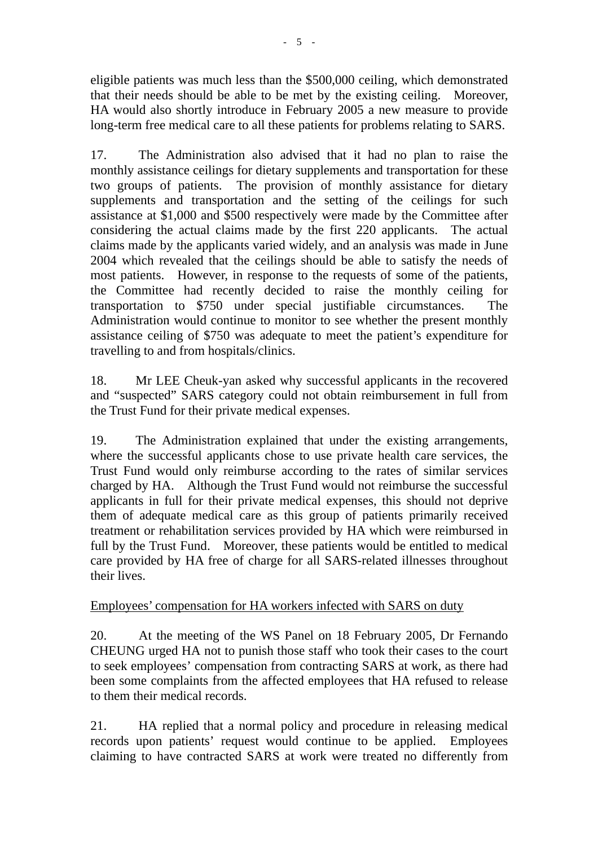eligible patients was much less than the \$500,000 ceiling, which demonstrated that their needs should be able to be met by the existing ceiling. Moreover, HA would also shortly introduce in February 2005 a new measure to provide long-term free medical care to all these patients for problems relating to SARS.

17. The Administration also advised that it had no plan to raise the monthly assistance ceilings for dietary supplements and transportation for these two groups of patients. The provision of monthly assistance for dietary supplements and transportation and the setting of the ceilings for such assistance at \$1,000 and \$500 respectively were made by the Committee after considering the actual claims made by the first 220 applicants. The actual claims made by the applicants varied widely, and an analysis was made in June 2004 which revealed that the ceilings should be able to satisfy the needs of most patients. However, in response to the requests of some of the patients, the Committee had recently decided to raise the monthly ceiling for transportation to \$750 under special justifiable circumstances. The Administration would continue to monitor to see whether the present monthly assistance ceiling of \$750 was adequate to meet the patient's expenditure for travelling to and from hospitals/clinics.

18. Mr LEE Cheuk-yan asked why successful applicants in the recovered and "suspected" SARS category could not obtain reimbursement in full from the Trust Fund for their private medical expenses.

19. The Administration explained that under the existing arrangements, where the successful applicants chose to use private health care services, the Trust Fund would only reimburse according to the rates of similar services charged by HA. Although the Trust Fund would not reimburse the successful applicants in full for their private medical expenses, this should not deprive them of adequate medical care as this group of patients primarily received treatment or rehabilitation services provided by HA which were reimbursed in full by the Trust Fund. Moreover, these patients would be entitled to medical care provided by HA free of charge for all SARS-related illnesses throughout their lives.

## Employees' compensation for HA workers infected with SARS on duty

20. At the meeting of the WS Panel on 18 February 2005, Dr Fernando CHEUNG urged HA not to punish those staff who took their cases to the court to seek employees' compensation from contracting SARS at work, as there had been some complaints from the affected employees that HA refused to release to them their medical records.

21. HA replied that a normal policy and procedure in releasing medical records upon patients' request would continue to be applied. Employees claiming to have contracted SARS at work were treated no differently from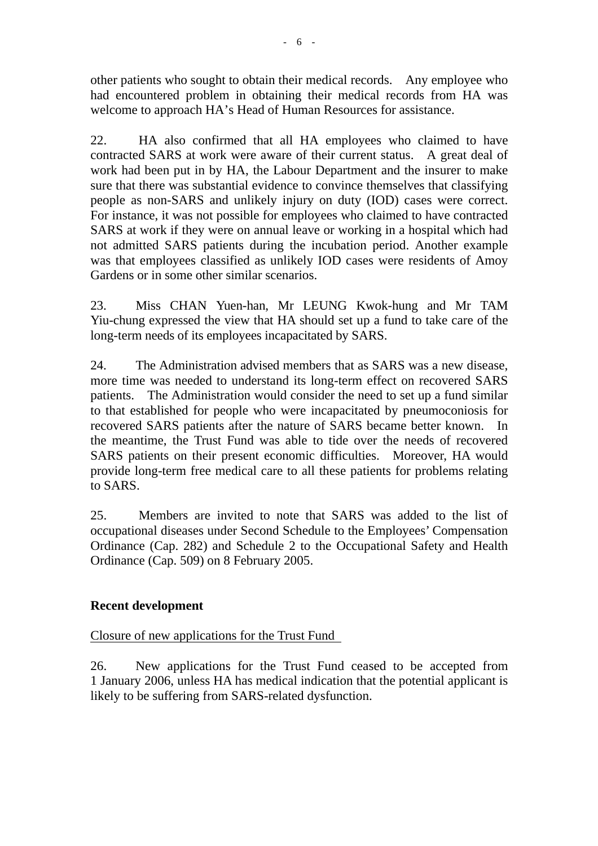other patients who sought to obtain their medical records. Any employee who had encountered problem in obtaining their medical records from HA was welcome to approach HA's Head of Human Resources for assistance.

22. HA also confirmed that all HA employees who claimed to have contracted SARS at work were aware of their current status. A great deal of work had been put in by HA, the Labour Department and the insurer to make sure that there was substantial evidence to convince themselves that classifying people as non-SARS and unlikely injury on duty (IOD) cases were correct. For instance, it was not possible for employees who claimed to have contracted SARS at work if they were on annual leave or working in a hospital which had not admitted SARS patients during the incubation period. Another example was that employees classified as unlikely IOD cases were residents of Amoy Gardens or in some other similar scenarios.

23. Miss CHAN Yuen-han, Mr LEUNG Kwok-hung and Mr TAM Yiu-chung expressed the view that HA should set up a fund to take care of the long-term needs of its employees incapacitated by SARS.

24. The Administration advised members that as SARS was a new disease, more time was needed to understand its long-term effect on recovered SARS patients. The Administration would consider the need to set up a fund similar to that established for people who were incapacitated by pneumoconiosis for recovered SARS patients after the nature of SARS became better known. In the meantime, the Trust Fund was able to tide over the needs of recovered SARS patients on their present economic difficulties. Moreover, HA would provide long-term free medical care to all these patients for problems relating to SARS.

25. Members are invited to note that SARS was added to the list of occupational diseases under Second Schedule to the Employees' Compensation Ordinance (Cap. 282) and Schedule 2 to the Occupational Safety and Health Ordinance (Cap. 509) on 8 February 2005.

# **Recent development**

Closure of new applications for the Trust Fund

26. New applications for the Trust Fund ceased to be accepted from 1 January 2006, unless HA has medical indication that the potential applicant is likely to be suffering from SARS-related dysfunction.